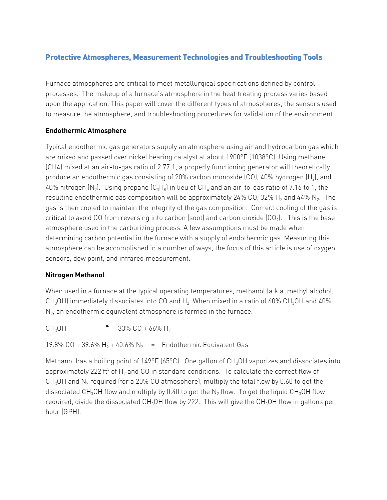# **Protective Atmospheres, Measurement Technologies and Troubleshooting Tools**

Furnace atmospheres are critical to meet metallurgical specifications defined by control processes. The makeup of a furnace's atmosphere in the heat treating process varies based upon the application. This paper will cover the different types of atmospheres, the sensors used to measure the atmosphere, and troubleshooting procedures for validation of the environment.

## **Endothermic Atmosphere**

Typical endothermic gas generators supply an atmosphere using air and hydrocarbon gas which are mixed and passed over nickel bearing catalyst at about 1900°F (1038°C). Using methane (CH4) mixed at an air-to-gas ratio of 2.77:1, a properly functioning generator will theoretically produce an endothermic gas consisting of 20% carbon monoxide  $[CO]$ , 40% hydrogen  $[H_2]$ , and 40% nitrogen  $(N_2)$ . Using propane  $(C_3H_8)$  in lieu of CH<sub>4</sub> and an air-to-gas ratio of 7.16 to 1, the resulting endothermic gas composition will be approximately 24% CO, 32%  $H_2$  and 44% N<sub>2</sub>. The gas is then cooled to maintain the integrity of the gas composition. Correct cooling of the gas is critical to avoid CO from reversing into carbon (soot) and carbon dioxide  $(CO<sub>2</sub>)$ . This is the base atmosphere used in the carburizing process. A few assumptions must be made when determining carbon potential in the furnace with a supply of endothermic gas. Measuring this atmosphere can be accomplished in a number of ways; the focus of this article is use of oxygen sensors, dew point, and infrared measurement.

## **Nitrogen Methanol**

When used in a furnace at the typical operating temperatures, methanol (a.k.a. methyl alcohol, CH<sub>3</sub>OH) immediately dissociates into CO and H<sub>2</sub>. When mixed in a ratio of 60% CH<sub>3</sub>OH and 40%  $N<sub>2</sub>$ , an endothermic equivalent atmosphere is formed in the furnace.

 $CH_3OH$   $\longrightarrow$  33% CO + 66% H<sub>2</sub>

19.8% CO + 39.6% H<sub>2</sub> + 40.6% N<sub>2</sub> = Endothermic Equivalent Gas

Methanol has a boiling point of 149°F (65°C). One gallon of CH<sub>3</sub>OH vaporizes and dissociates into approximately 222 ft<sup>3</sup> of H<sub>2</sub> and CO in standard conditions. To calculate the correct flow of CH<sub>3</sub>OH and N<sub>2</sub> required (for a 20% CO atmosphere), multiply the total flow by 0.60 to get the dissociated CH<sub>3</sub>OH flow and multiply by 0.40 to get the N<sub>2</sub> flow. To get the liquid CH<sub>3</sub>OH flow required, divide the dissociated  $CH_3OH$  flow by 222. This will give the  $CH_3OH$  flow in gallons per hour (GPH).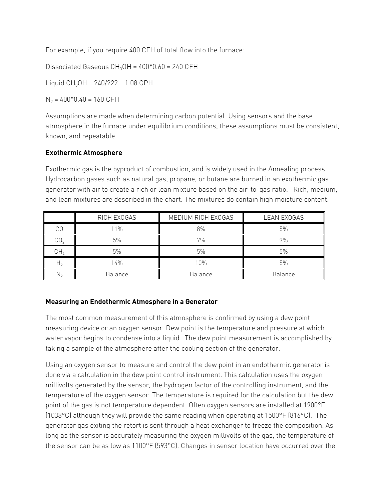For example, if you require 400 CFH of total flow into the furnace:

Dissociated Gaseous  $CH<sub>3</sub>OH = 400*0.60 = 240 CFH$ 

Liquid  $CH_3OH = 240/222 = 1.08$  GPH

 $N_2 = 400*0.40 = 160$  CFH

Assumptions are made when determining carbon potential. Using sensors and the base atmosphere in the furnace under equilibrium conditions, these assumptions must be consistent, known, and repeatable.

## **Exothermic Atmosphere**

Exothermic gas is the byproduct of combustion, and is widely used in the Annealing process. Hydrocarbon gases such as natural gas, propane, or butane are burned in an exothermic gas generator with air to create a rich or lean mixture based on the air-to-gas ratio. Rich, medium, and lean mixtures are described in the chart. The mixtures do contain high moisture content.

|     | RICH EXOGAS | MEDIUM RICH EXOGAS | <b>LEAN EXOGAS</b> |
|-----|-------------|--------------------|--------------------|
| СO  | 11%         | 8%                 | 5%                 |
| CO, | 5%          | 7%                 | 9%                 |
| CН, | 5%          | 5%                 | 5%                 |
| п۰  | 14%         | 10%                | 5%                 |
| N۰, | Balance     | Balance            | Balance            |

## **Measuring an Endothermic Atmosphere in a Generator**

The most common measurement of this atmosphere is confirmed by using a dew point measuring device or an oxygen sensor. Dew point is the temperature and pressure at which water vapor begins to condense into a liquid. The dew point measurement is accomplished by taking a sample of the atmosphere after the cooling section of the generator.

Using an oxygen sensor to measure and control the dew point in an endothermic generator is done via a calculation in the dew point control instrument. This calculation uses the oxygen millivolts generated by the sensor, the hydrogen factor of the controlling instrument, and the temperature of the oxygen sensor. The temperature is required for the calculation but the dew point of the gas is not temperature dependent. Often oxygen sensors are installed at 1900°F (1038°C) although they will provide the same reading when operating at 1500°F (816°C). The generator gas exiting the retort is sent through a heat exchanger to freeze the composition. As long as the sensor is accurately measuring the oxygen millivolts of the gas, the temperature of the sensor can be as low as 1100°F (593°C). Changes in sensor location have occurred over the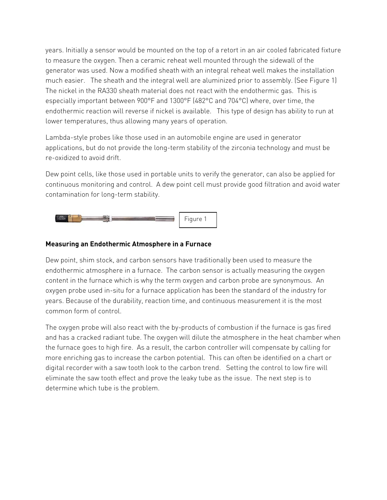years. Initially a sensor would be mounted on the top of a retort in an air cooled fabricated fixture to measure the oxygen. Then a ceramic reheat well mounted through the sidewall of the generator was used. Now a modified sheath with an integral reheat well makes the installation much easier. The sheath and the integral well are aluminized prior to assembly. (See Figure 1) The nickel in the RA330 sheath material does not react with the endothermic gas. This is especially important between 900°F and 1300°F (482°C and 704°C) where, over time, the endothermic reaction will reverse if nickel is available. This type of design has ability to run at lower temperatures, thus allowing many years of operation.

Lambda-style probes like those used in an automobile engine are used in generator applications, but do not provide the long-term stability of the zirconia technology and must be re-oxidized to avoid drift.

Dew point cells, like those used in portable units to verify the generator, can also be applied for continuous monitoring and control. A dew point cell must provide good filtration and avoid water contamination for long-term stability.



### **Measuring an Endothermic Atmosphere in a Furnace**

Dew point, shim stock, and carbon sensors have traditionally been used to measure the endothermic atmosphere in a furnace. The carbon sensor is actually measuring the oxygen content in the furnace which is why the term oxygen and carbon probe are synonymous. An oxygen probe used in-situ for a furnace application has been the standard of the industry for years. Because of the durability, reaction time, and continuous measurement it is the most common form of control.

The oxygen probe will also react with the by-products of combustion if the furnace is gas fired and has a cracked radiant tube. The oxygen will dilute the atmosphere in the heat chamber when the furnace goes to high fire. As a result, the carbon controller will compensate by calling for more enriching gas to increase the carbon potential. This can often be identified on a chart or digital recorder with a saw tooth look to the carbon trend. Setting the control to low fire will eliminate the saw tooth effect and prove the leaky tube as the issue. The next step is to determine which tube is the problem.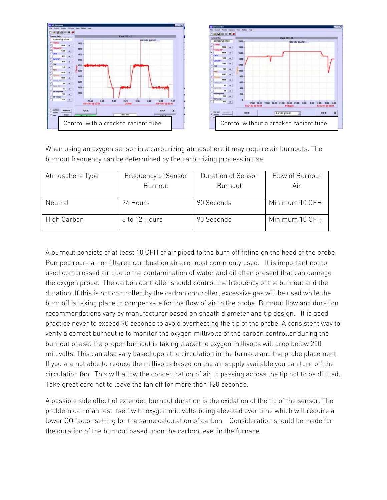



When using an oxygen sensor in a carburizing atmosphere it may require air burnouts. The burnout frequency can be determined by the carburizing process in use.

| Atmosphere Type | Frequency of Sensor | Duration of Sensor | Flow of Burnout |
|-----------------|---------------------|--------------------|-----------------|
|                 | Burnout             | Burnout            | Air             |
| Neutral         | 24 Hours            | 90 Seconds         | Minimum 10 CFH  |
| High Carbon     | 8 to 12 Hours       | 90 Seconds         | Minimum 10 CFH  |

A burnout consists of at least 10 CFH of air piped to the burn off fitting on the head of the probe. Pumped room air or filtered combustion air are most commonly used. It is important not to used compressed air due to the contamination of water and oil often present that can damage the oxygen probe. The carbon controller should control the frequency of the burnout and the duration. If this is not controlled by the carbon controller, excessive gas will be used while the burn off is taking place to compensate for the flow of air to the probe. Burnout flow and duration recommendations vary by manufacturer based on sheath diameter and tip design. It is good practice never to exceed 90 seconds to avoid overheating the tip of the probe. A consistent way to verify a correct burnout is to monitor the oxygen millivolts of the carbon controller during the burnout phase. If a proper burnout is taking place the oxygen millivolts will drop below 200 millivolts. This can also vary based upon the circulation in the furnace and the probe placement. If you are not able to reduce the millivolts based on the air supply available you can turn off the circulation fan. This will allow the concentration of air to passing across the tip not to be diluted. Take great care not to leave the fan off for more than 120 seconds.

A possible side effect of extended burnout duration is the oxidation of the tip of the sensor. The problem can manifest itself with oxygen millivolts being elevated over time which will require a lower CO factor setting for the same calculation of carbon. Consideration should be made for the duration of the burnout based upon the carbon level in the furnace.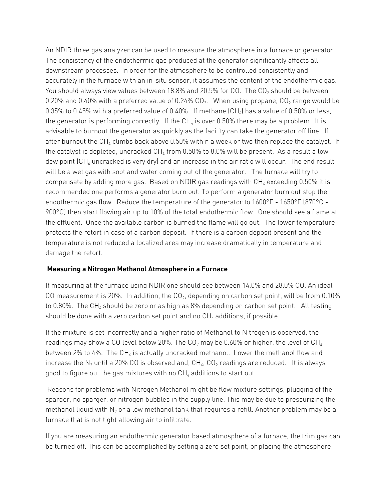An NDIR three gas analyzer can be used to measure the atmosphere in a furnace or generator. The consistency of the endothermic gas produced at the generator significantly affects all downstream processes. In order for the atmosphere to be controlled consistently and accurately in the furnace with an in-situ sensor, it assumes the content of the endothermic gas. You should always view values between 18.8% and 20.5% for CO. The  $CO<sub>2</sub>$  should be between 0.20% and 0.40% with a preferred value of 0.24%  $CO<sub>2</sub>$ . When using propane,  $CO<sub>2</sub>$  range would be 0.35% to 0.45% with a preferred value of 0.40%. If methane  $\text{[CH}_{4}\text{]}$  has a value of 0.50% or less, the generator is performing correctly. If the  $CH_4$  is over 0.50% there may be a problem. It is advisable to burnout the generator as quickly as the facility can take the generator off line. If after burnout the  $CH_4$  climbs back above 0.50% within a week or two then replace the catalyst. If the catalyst is depleted, uncracked  $CH<sub>4</sub>$  from 0.50% to 8.0% will be present. As a result a low dew point  $\left[CH_{4}\right]$  uncracked is very dry) and an increase in the air ratio will occur. The end result will be a wet gas with soot and water coming out of the generator. The furnace will try to compensate by adding more gas. Based on NDIR gas readings with  $CH<sub>4</sub>$  exceeding 0.50% it is recommended one performs a generator burn out. To perform a generator burn out stop the endothermic gas flow. Reduce the temperature of the generator to 1600°F - 1650°F (870°C - 900°C) then start flowing air up to 10% of the total endothermic flow. One should see a flame at the effluent. Once the available carbon is burned the flame will go out. The lower temperature protects the retort in case of a carbon deposit. If there is a carbon deposit present and the temperature is not reduced a localized area may increase dramatically in temperature and damage the retort.

## **Measuring a Nitrogen Methanol Atmosphere in a Furnace**.

If measuring at the furnace using NDIR one should see between 14.0% and 28.0% CO. An ideal CO measurement is 20%. In addition, the  $CO<sub>2</sub>$ , depending on carbon set point, will be from 0.10% to 0.80%. The CH<sub>4</sub> should be zero or as high as 8% depending on carbon set point. All testing should be done with a zero carbon set point and no  $CH_4$  additions, if possible.

If the mixture is set incorrectly and a higher ratio of Methanol to Nitrogen is observed, the readings may show a CO level below 20%. The  $CO_2$  may be 0.60% or higher, the level of  $CH_4$ between 2% to 4%. The  $CH_4$  is actually uncracked methanol. Lower the methanol flow and increase the  $N_2$  until a 20% CO is observed and,  $CH_4$ ,  $CO_2$  readings are reduced. It is always good to figure out the gas mixtures with no  $CH_4$  additions to start out.

Reasons for problems with Nitrogen Methanol might be flow mixture settings, plugging of the sparger, no sparger, or nitrogen bubbles in the supply line. This may be due to pressurizing the methanol liquid with  $N_2$  or a low methanol tank that requires a refill. Another problem may be a furnace that is not tight allowing air to infiltrate.

If you are measuring an endothermic generator based atmosphere of a furnace, the trim gas can be turned off. This can be accomplished by setting a zero set point, or placing the atmosphere